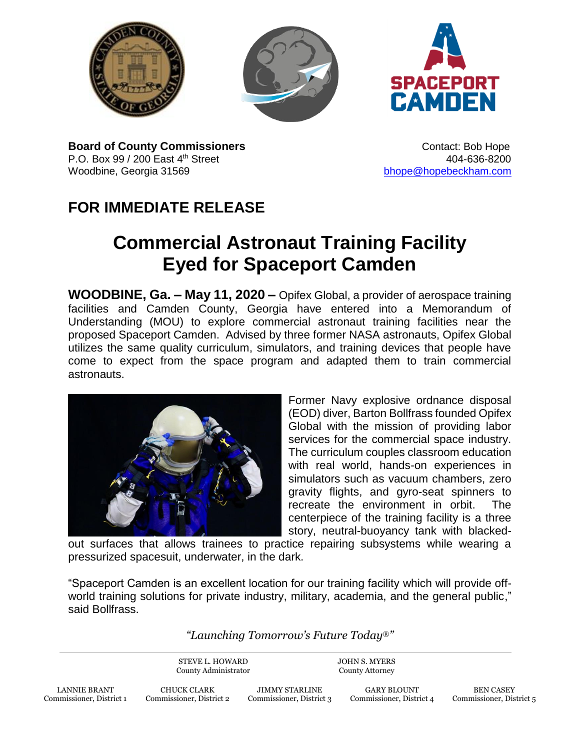





**Board of County Commissioners CONTER 1999** Contact: Bob Hope P.O. Box 99 / 200 East 4<sup>th</sup> Street **404-636-8200** 404-636-8200 Woodbine, Georgia 31569 [bhope@hopebeckham.com](mailto:bhope@hopebeckham.com)

## **FOR IMMEDIATE RELEASE**

## **Commercial Astronaut Training Facility Eyed for Spaceport Camden**

**WOODBINE, Ga. – May 11, 2020 –** Opifex Global, a provider of aerospace training facilities and Camden County, Georgia have entered into a Memorandum of Understanding (MOU) to explore commercial astronaut training facilities near the proposed Spaceport Camden. Advised by three former NASA astronauts, Opifex Global utilizes the same quality curriculum, simulators, and training devices that people have come to expect from the space program and adapted them to train commercial astronauts.



Former Navy explosive ordnance disposal (EOD) diver, Barton Bollfrass founded Opifex Global with the mission of providing labor services for the commercial space industry. The curriculum couples classroom education with real world, hands-on experiences in simulators such as vacuum chambers, zero gravity flights, and gyro-seat spinners to recreate the environment in orbit. The centerpiece of the training facility is a three story, neutral-buoyancy tank with blacked-

out surfaces that allows trainees to practice repairing subsystems while wearing a pressurized spacesuit, underwater, in the dark.

"Spaceport Camden is an excellent location for our training facility which will provide offworld training solutions for private industry, military, academia, and the general public," said Bollfrass.

## *"Launching Tomorrow's Future Today*®*"*

STEVE L. HOWARD County Administrator JOHN S. MYERS County Attorney

> GARY BLOUNT Commissioner, District 4

BEN CASEY Commissioner, District 5

LANNIE BRANT Commissioner, District 1

CHUCK CLARK Commissioner, District 2

JIMMY STARLINE Commissioner, District 3